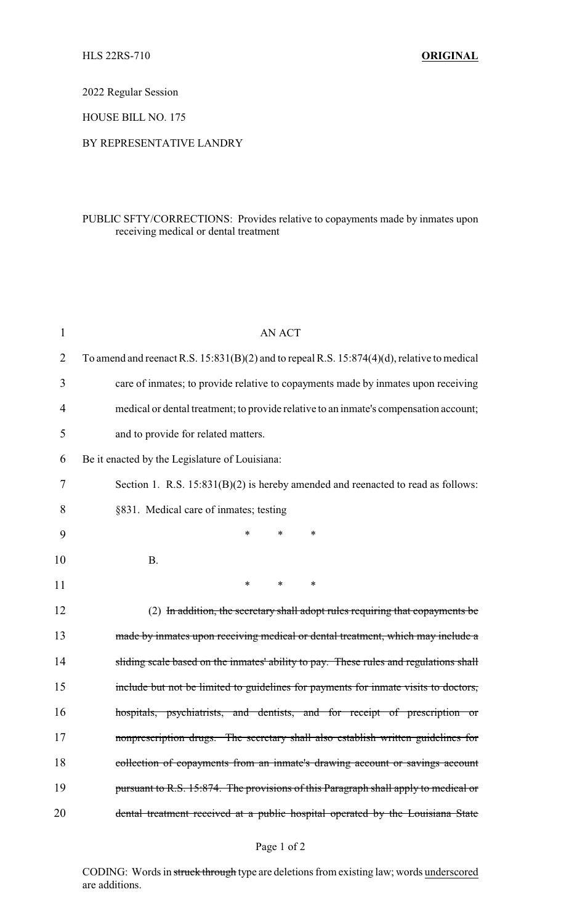2022 Regular Session

HOUSE BILL NO. 175

## BY REPRESENTATIVE LANDRY

## PUBLIC SFTY/CORRECTIONS: Provides relative to copayments made by inmates upon receiving medical or dental treatment

| $\mathbf{1}$ | <b>AN ACT</b>                                                                                    |  |  |  |  |  |
|--------------|--------------------------------------------------------------------------------------------------|--|--|--|--|--|
| 2            | To amend and reenact R.S. $15:831(B)(2)$ and to repeal R.S. $15:874(4)(d)$ , relative to medical |  |  |  |  |  |
| 3            | care of inmates; to provide relative to copayments made by inmates upon receiving                |  |  |  |  |  |
| 4            | medical or dental treatment; to provide relative to an inmate's compensation account;            |  |  |  |  |  |
| 5            | and to provide for related matters.                                                              |  |  |  |  |  |
| 6            | Be it enacted by the Legislature of Louisiana:                                                   |  |  |  |  |  |
| 7            | Section 1. R.S. $15:831(B)(2)$ is hereby amended and reenacted to read as follows:               |  |  |  |  |  |
| 8            | §831. Medical care of inmates; testing                                                           |  |  |  |  |  |
| 9            | *<br>*<br>∗                                                                                      |  |  |  |  |  |
| 10           | <b>B.</b>                                                                                        |  |  |  |  |  |
| 11           | $\ast$<br>$\ast$<br>*                                                                            |  |  |  |  |  |
| 12           | (2) In addition, the secretary shall adopt rules requiring that copayments be                    |  |  |  |  |  |
| 13           | made by inmates upon receiving medical or dental treatment, which may include a                  |  |  |  |  |  |
| 14           | sliding scale based on the inmates' ability to pay. These rules and regulations shall            |  |  |  |  |  |
| 15           | include but not be limited to guidelines for payments for inmate visits to doctors,              |  |  |  |  |  |
| 16           | hospitals, psychiatrists, and dentists, and for receipt of prescription or                       |  |  |  |  |  |
| 17           | nonprescription drugs. The secretary shall also establish written guidelines for                 |  |  |  |  |  |
| 18           | collection of copayments from an inmate's drawing account or savings account                     |  |  |  |  |  |
| 19           | pursuant to R.S. 15:874. The provisions of this Paragraph shall apply to medical or              |  |  |  |  |  |
| 20           | dental treatment received at a public hospital operated by the Louisiana State                   |  |  |  |  |  |

CODING: Words in struck through type are deletions from existing law; words underscored are additions.